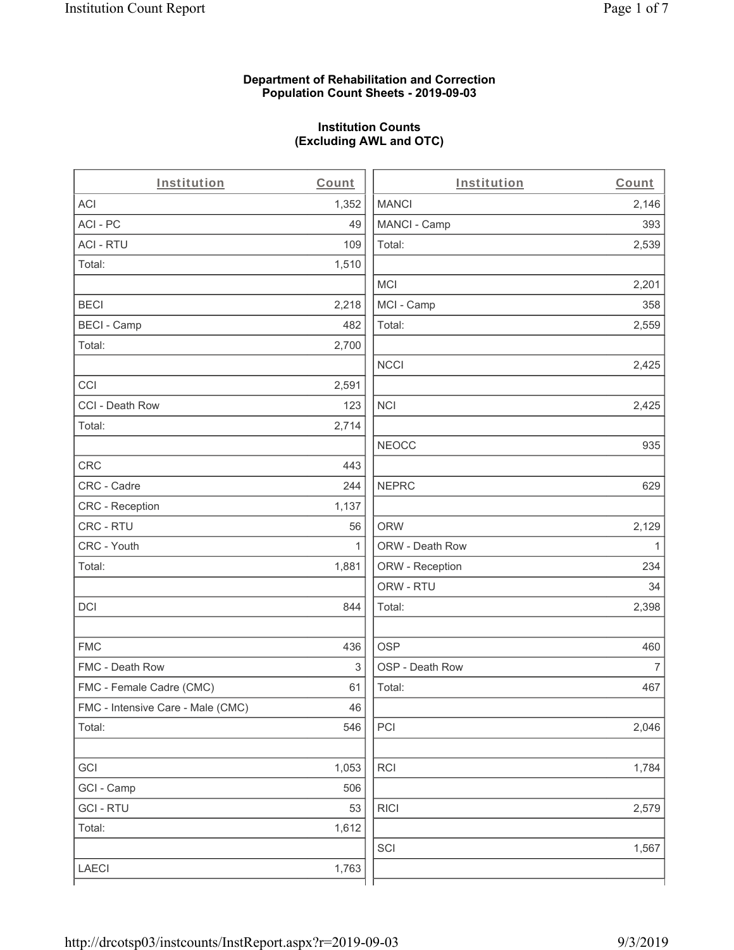## **Department of Rehabilitation and Correction Population Count Sheets - 2019-09-03**

# **Institution Counts (Excluding AWL and OTC)**

. .

| Institution                       | Count | Institution     | Count        |
|-----------------------------------|-------|-----------------|--------------|
| <b>ACI</b>                        | 1,352 | <b>MANCI</b>    | 2,146        |
| ACI-PC                            | 49    | MANCI - Camp    | 393          |
| <b>ACI - RTU</b>                  | 109   | Total:          | 2,539        |
| Total:                            | 1,510 |                 |              |
|                                   |       | <b>MCI</b>      | 2,201        |
| <b>BECI</b>                       | 2,218 | MCI - Camp      | 358          |
| <b>BECI - Camp</b>                | 482   | Total:          | 2,559        |
| Total:                            | 2,700 |                 |              |
|                                   |       | <b>NCCI</b>     | 2,425        |
| CCI                               | 2,591 |                 |              |
| CCI - Death Row                   | 123   | <b>NCI</b>      | 2,425        |
| Total:                            | 2,714 |                 |              |
|                                   |       | <b>NEOCC</b>    | 935          |
| <b>CRC</b>                        | 443   |                 |              |
| CRC - Cadre                       | 244   | <b>NEPRC</b>    | 629          |
| <b>CRC</b> - Reception            | 1,137 |                 |              |
| CRC - RTU                         | 56    | <b>ORW</b>      | 2,129        |
| CRC - Youth                       | 1     | ORW - Death Row | $\mathbf{1}$ |
| Total:                            | 1,881 | ORW - Reception | 234          |
|                                   |       | ORW - RTU       | 34           |
| DCI                               | 844   | Total:          | 2,398        |
| <b>FMC</b>                        | 436   | <b>OSP</b>      | 460          |
| FMC - Death Row                   | 3     | OSP - Death Row | 7            |
| FMC - Female Cadre (CMC)          | 61    | Total:          | 467          |
| FMC - Intensive Care - Male (CMC) | 46    |                 |              |
| Total:                            | 546   | PCI             | 2,046        |
| GCI                               | 1,053 | <b>RCI</b>      | 1,784        |
| GCI - Camp                        | 506   |                 |              |
| <b>GCI-RTU</b>                    | 53    | <b>RICI</b>     | 2,579        |
| Total:                            | 1,612 |                 |              |
|                                   |       | SCI             | 1,567        |
| LAECI                             | 1,763 |                 |              |
|                                   |       |                 |              |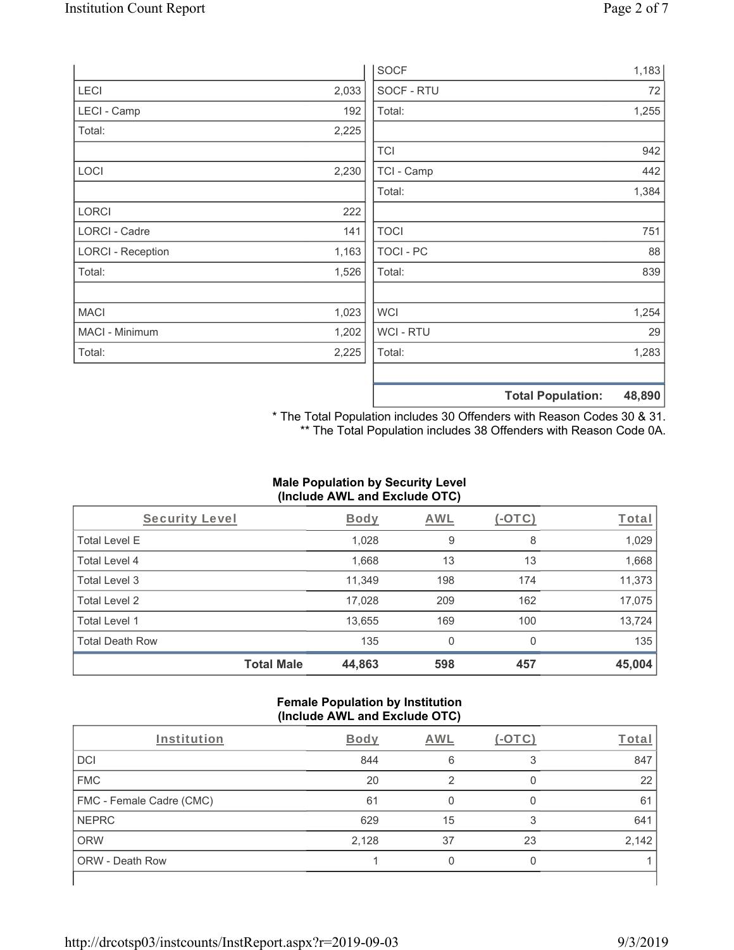|       |                | 1,183       |
|-------|----------------|-------------|
| 2,033 | SOCF - RTU     | 72          |
| 192   | Total:         | 1,255       |
| 2,225 |                |             |
|       | <b>TCI</b>     | 942         |
| 2,230 | TCI - Camp     | 442         |
|       | Total:         | 1,384       |
| 222   |                |             |
| 141   | <b>TOCI</b>    | 751         |
| 1,163 | TOCI - PC      | 88          |
| 1,526 | Total:         | 839         |
| 1,023 | <b>WCI</b>     | 1,254       |
| 1,202 | <b>WCI-RTU</b> | 29          |
| 2,225 | Total:         | 1,283       |
|       |                |             |
|       |                | <b>SOCF</b> |

**Total Population: 48,890**

\* The Total Population includes 30 Offenders with Reason Codes 30 & 31. \*\* The Total Population includes 38 Offenders with Reason Code 0A.

# **Male Population by Security Level (Include AWL and Exclude OTC)**

| Security Level         |                   | <b>Body</b> | <b>AWL</b> | (-OTC)   | Total  |
|------------------------|-------------------|-------------|------------|----------|--------|
| <b>Total Level E</b>   |                   | 1,028       | 9          | 8        | 1,029  |
| <b>Total Level 4</b>   |                   | 1,668       | 13         | 13       | 1,668  |
| Total Level 3          |                   | 11,349      | 198        | 174      | 11,373 |
| Total Level 2          |                   | 17,028      | 209        | 162      | 17,075 |
| Total Level 1          |                   | 13,655      | 169        | 100      | 13,724 |
| <b>Total Death Row</b> |                   | 135         | 0          | $\Omega$ | 135    |
|                        | <b>Total Male</b> | 44,863      | 598        | 457      | 45,004 |

### **Female Population by Institution (Include AWL and Exclude OTC)**

| Institution                     | Body  | <b>AWL</b> |    | Total |
|---------------------------------|-------|------------|----|-------|
| <b>DCI</b>                      | 844   | 6          |    | 847   |
| <b>FMC</b>                      | 20    |            |    | 22    |
| <b>FMC - Female Cadre (CMC)</b> | 61    |            |    | 61    |
| <b>NEPRC</b>                    | 629   | 15         | 3  | 641   |
| <b>ORW</b>                      | 2,128 | 37         | 23 | 2,142 |
| ORW - Death Row                 |       |            |    |       |
|                                 |       |            |    |       |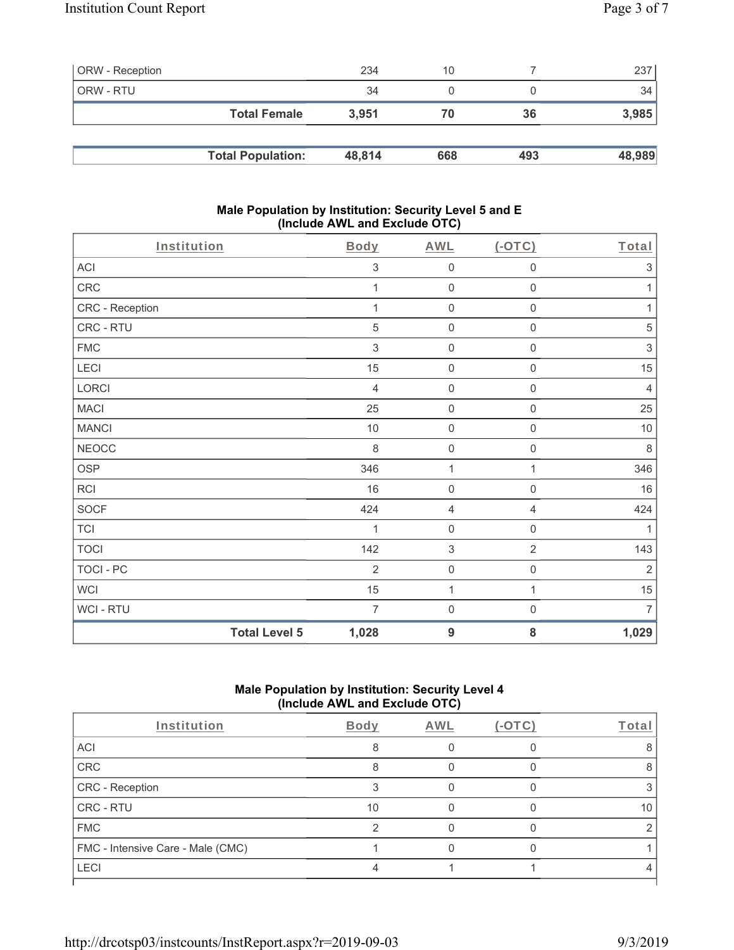| <b>ORW</b> - Reception |                          | 234    | 10  |     | 237    |
|------------------------|--------------------------|--------|-----|-----|--------|
| ORW - RTU              |                          | 34     |     |     | 34     |
|                        | <b>Total Female</b>      | 3.951  | 70  | 36  | 3,985  |
|                        |                          |        |     |     |        |
|                        | <b>Total Population:</b> | 48.814 | 668 | 493 | 48,989 |

### **Male Population by Institution: Security Level 5 and E (Include AWL and Exclude OTC)**

| Institution      |                      | Body           | <b>AWL</b>                | $($ -OTC $)$        | Total          |
|------------------|----------------------|----------------|---------------------------|---------------------|----------------|
| ACI              |                      | 3              | $\mathsf{O}\xspace$       | $\mathsf{O}\xspace$ | $\sqrt{3}$     |
| CRC              |                      | 1              | $\mathbf 0$               | $\mathsf{O}\xspace$ | 1              |
| CRC - Reception  |                      | 1              | $\mathsf{O}\xspace$       | $\mathbf 0$         | 1              |
| CRC - RTU        |                      | 5              | $\mathsf{O}\xspace$       | $\mathsf{O}\xspace$ | 5              |
| <b>FMC</b>       |                      | 3              | $\mathbf 0$               | 0                   | $\mathsf 3$    |
| LECI             |                      | 15             | $\mathbf 0$               | $\mathbf 0$         | 15             |
| LORCI            |                      | $\overline{4}$ | $\mathsf{O}\xspace$       | $\mathsf{O}\xspace$ | $\overline{4}$ |
| <b>MACI</b>      |                      | 25             | $\mathbf 0$               | $\mathsf{O}\xspace$ | 25             |
| <b>MANCI</b>     |                      | 10             | $\mathsf 0$               | $\mathbf 0$         | 10             |
| <b>NEOCC</b>     |                      | $\,8\,$        | $\mathsf{O}\xspace$       | 0                   | $\,8\,$        |
| <b>OSP</b>       |                      | 346            | 1                         | 1                   | 346            |
| RCI              |                      | 16             | $\mathsf{O}\xspace$       | $\mathsf{O}\xspace$ | $16\,$         |
| <b>SOCF</b>      |                      | 424            | $\overline{4}$            | $\overline{4}$      | 424            |
| <b>TCI</b>       |                      | 1              | $\mathsf{O}\xspace$       | $\mathsf{O}\xspace$ | 1              |
| <b>TOCI</b>      |                      | 142            | $\ensuremath{\mathsf{3}}$ | $\overline{2}$      | 143            |
| <b>TOCI - PC</b> |                      | $\overline{2}$ | $\mathsf{O}\xspace$       | $\boldsymbol{0}$    | $\sqrt{2}$     |
| <b>WCI</b>       |                      | 15             | $\mathbf{1}$              | $\mathbf{1}$        | 15             |
| WCI - RTU        |                      | 7              | $\mathbf 0$               | $\boldsymbol{0}$    | $\overline{7}$ |
|                  | <b>Total Level 5</b> | 1,028          | $9$                       | ${\bf 8}$           | 1,029          |

# **Male Population by Institution: Security Level 4 (Include AWL and Exclude OTC)**

| Institution                       | <b>Body</b> | AWL | $(-OTC)$ | Total |
|-----------------------------------|-------------|-----|----------|-------|
| ACI                               |             |     |          |       |
| CRC                               | 8           |     |          |       |
| CRC - Reception                   |             |     |          |       |
| CRC - RTU                         | 10          |     |          | 10    |
| <b>FMC</b>                        | ◠           |     |          |       |
| FMC - Intensive Care - Male (CMC) |             |     |          |       |
| LECI                              |             |     |          |       |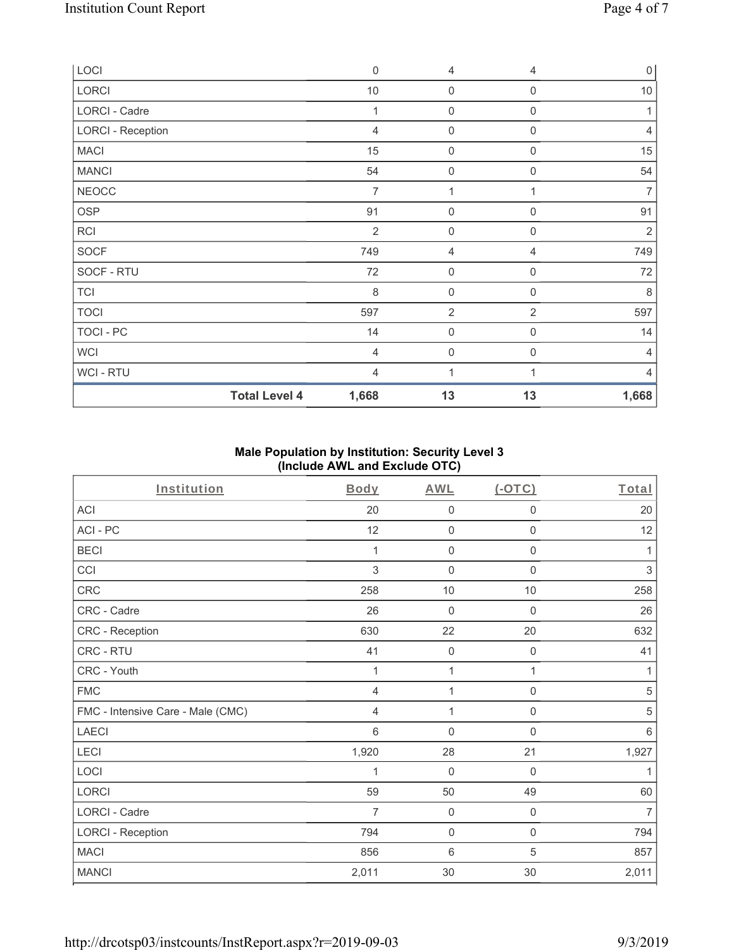| LOCI                     | $\mathbf 0$    | 4                   | $\overline{4}$   | $\overline{0}$ |
|--------------------------|----------------|---------------------|------------------|----------------|
| LORCI                    | $10$           | $\mathsf{O}\xspace$ | $\mathbf 0$      | 10             |
| LORCI - Cadre            | 1              | $\mathsf{O}\xspace$ | $\mathbf 0$      | 1              |
| <b>LORCI - Reception</b> | $\overline{4}$ | $\mathbf 0$         | $\Omega$         | 4              |
| <b>MACI</b>              | 15             | $\mathsf{O}\xspace$ | $\mathbf 0$      | 15             |
| <b>MANCI</b>             | 54             | 0                   | $\mathbf 0$      | 54             |
| <b>NEOCC</b>             | $\overline{7}$ | 1                   |                  | $\overline{7}$ |
| OSP                      | 91             | $\mathsf{O}\xspace$ | $\mathbf 0$      | 91             |
| <b>RCI</b>               | $\overline{2}$ | $\boldsymbol{0}$    | $\boldsymbol{0}$ | 2              |
| SOCF                     | 749            | 4                   | $\overline{4}$   | 749            |
| SOCF - RTU               | 72             | $\mathsf{O}\xspace$ | $\mathbf 0$      | 72             |
| <b>TCI</b>               | 8              | $\mathsf{O}\xspace$ | $\boldsymbol{0}$ | 8              |
| <b>TOCI</b>              | 597            | $\overline{2}$      | $\overline{2}$   | 597            |
| TOCI - PC                | 14             | $\mathsf{O}\xspace$ | $\mathbf 0$      | 14             |
| <b>WCI</b>               | 4              | $\mathbf 0$         | $\Omega$         | 4              |
| <b>WCI-RTU</b>           | $\overline{4}$ | 1                   |                  | $\overline{4}$ |
| <b>Total Level 4</b>     | 1,668          | 13                  | 13               | 1,668          |

## **Male Population by Institution: Security Level 3 (Include AWL and Exclude OTC)**

| Institution                       | <b>Body</b>    | <b>AWL</b>          | $(-OTC)$            | Total          |
|-----------------------------------|----------------|---------------------|---------------------|----------------|
| <b>ACI</b>                        | 20             | $\mathsf{O}\xspace$ | 0                   | 20             |
| ACI-PC                            | 12             | $\mathbf 0$         | 0                   | 12             |
| <b>BECI</b>                       | 1              | $\mathsf{O}\xspace$ | $\mathsf 0$         | 1              |
| CCI                               | 3              | $\mathbf 0$         | 0                   | 3              |
| CRC                               | 258            | $10$                | $10$                | 258            |
| CRC - Cadre                       | 26             | $\mathsf{O}\xspace$ | 0                   | 26             |
| CRC - Reception                   | 630            | 22                  | 20                  | 632            |
| CRC - RTU                         | 41             | $\mathbf 0$         | $\boldsymbol{0}$    | 41             |
| CRC - Youth                       | 1              | 1                   | 1                   | 1              |
| <b>FMC</b>                        | $\overline{4}$ | 1                   | $\mathbf 0$         | 5              |
| FMC - Intensive Care - Male (CMC) | $\overline{4}$ | 1                   | $\boldsymbol{0}$    | 5              |
| <b>LAECI</b>                      | 6              | $\mathbf 0$         | 0                   | 6              |
| LECI                              | 1,920          | 28                  | 21                  | 1,927          |
| LOCI                              | $\mathbf 1$    | $\mathsf{O}\xspace$ | $\boldsymbol{0}$    | 1              |
| LORCI                             | 59             | 50                  | 49                  | 60             |
| LORCI - Cadre                     | $\overline{7}$ | $\mathsf{O}\xspace$ | $\mathsf{O}\xspace$ | $\overline{7}$ |
| <b>LORCI - Reception</b>          | 794            | $\mathsf{O}\xspace$ | $\mathsf 0$         | 794            |
| <b>MACI</b>                       | 856            | 6                   | 5                   | 857            |
| <b>MANCI</b>                      | 2,011          | 30                  | 30                  | 2,011          |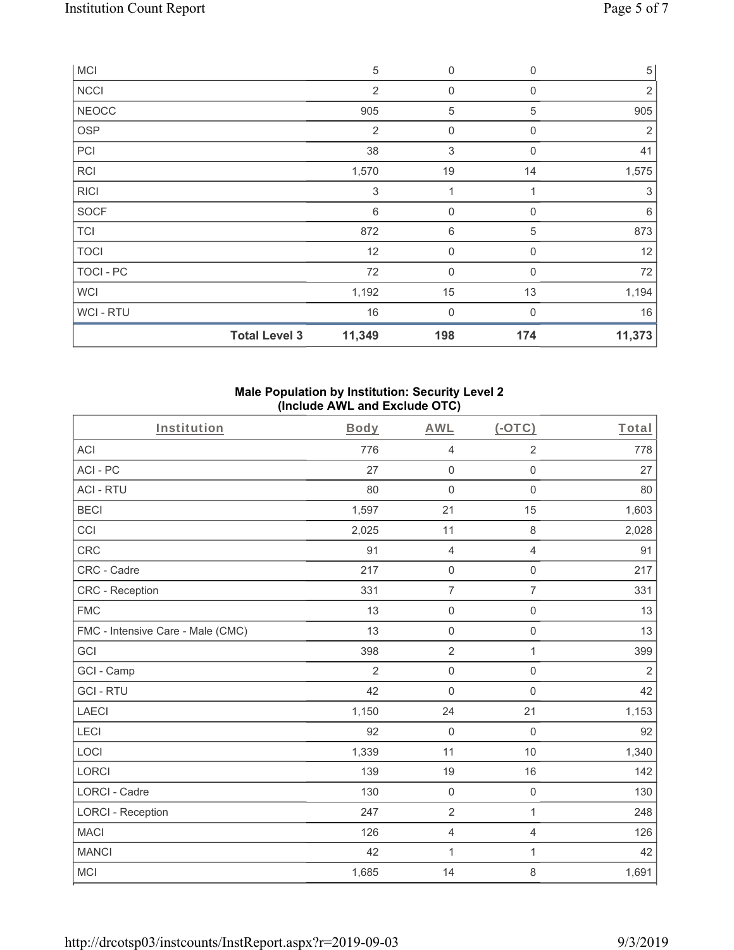| <b>MCI</b>       |                      | $\sqrt{5}$     | $\mathbf 0$         | $\mathbf 0$ | $\,$ 5 $\,$ |
|------------------|----------------------|----------------|---------------------|-------------|-------------|
| <b>NCCI</b>      |                      | $\overline{2}$ | 0                   | 0           | 2           |
| <b>NEOCC</b>     |                      | 905            | 5                   | 5           | 905         |
| <b>OSP</b>       |                      | $\overline{2}$ | 0                   | $\mathbf 0$ | 2           |
| PCI              |                      | 38             | 3                   | $\mathbf 0$ | 41          |
| RCI              |                      | 1,570          | 19                  | 14          | 1,575       |
| <b>RICI</b>      |                      | 3              |                     |             | 3           |
| <b>SOCF</b>      |                      | 6              | $\mathbf 0$         | $\mathbf 0$ | 6           |
| <b>TCI</b>       |                      | 872            | 6                   | 5           | 873         |
| <b>TOCI</b>      |                      | 12             | $\mathsf{O}\xspace$ | $\mathbf 0$ | 12          |
| <b>TOCI - PC</b> |                      | 72             | $\mathbf 0$         | $\Omega$    | 72          |
| <b>WCI</b>       |                      | 1,192          | 15                  | 13          | 1,194       |
| WCI-RTU          |                      | 16             | $\boldsymbol{0}$    | $\mathbf 0$ | 16          |
|                  | <b>Total Level 3</b> | 11,349         | 198                 | 174         | 11,373      |

## **Male Population by Institution: Security Level 2 (Include AWL and Exclude OTC)**

| Institution                       | Body           | <b>AWL</b>          | $(-OTC)$            | Total          |
|-----------------------------------|----------------|---------------------|---------------------|----------------|
| <b>ACI</b>                        | 776            | $\overline{4}$      | $\overline{2}$      | 778            |
| ACI-PC                            | 27             | $\mathbf 0$         | $\mathbf 0$         | 27             |
| <b>ACI - RTU</b>                  | 80             | $\mathbf 0$         | $\mathbf 0$         | 80             |
| <b>BECI</b>                       | 1,597          | 21                  | 15                  | 1,603          |
| CCI                               | 2,025          | 11                  | $\,8\,$             | 2,028          |
| CRC                               | 91             | $\overline{4}$      | $\overline{4}$      | 91             |
| CRC - Cadre                       | 217            | $\mathbf 0$         | $\mathsf 0$         | 217            |
| <b>CRC</b> - Reception            | 331            | $\overline{7}$      | $\overline{7}$      | 331            |
| <b>FMC</b>                        | 13             | $\mathbf 0$         | $\mathsf{O}\xspace$ | 13             |
| FMC - Intensive Care - Male (CMC) | 13             | $\mathbf 0$         | $\mathbf 0$         | 13             |
| GCI                               | 398            | $\overline{2}$      | 1                   | 399            |
| GCI - Camp                        | $\overline{2}$ | $\mathsf{O}\xspace$ | $\mathsf 0$         | $\overline{2}$ |
| <b>GCI-RTU</b>                    | 42             | $\mathbf 0$         | $\mathbf 0$         | 42             |
| <b>LAECI</b>                      | 1,150          | 24                  | 21                  | 1,153          |
| LECI                              | 92             | $\mathbf 0$         | $\mathbf 0$         | 92             |
| LOCI                              | 1,339          | 11                  | 10                  | 1,340          |
| <b>LORCI</b>                      | 139            | 19                  | 16                  | 142            |
| <b>LORCI - Cadre</b>              | 130            | $\mathbf 0$         | $\mathsf{O}\xspace$ | 130            |
| <b>LORCI - Reception</b>          | 247            | $\sqrt{2}$          | $\mathbf{1}$        | 248            |
| <b>MACI</b>                       | 126            | $\overline{4}$      | $\overline{4}$      | 126            |
| <b>MANCI</b>                      | 42             | $\mathbf{1}$        | $\mathbf{1}$        | 42             |
| <b>MCI</b>                        | 1,685          | 14                  | 8                   | 1,691          |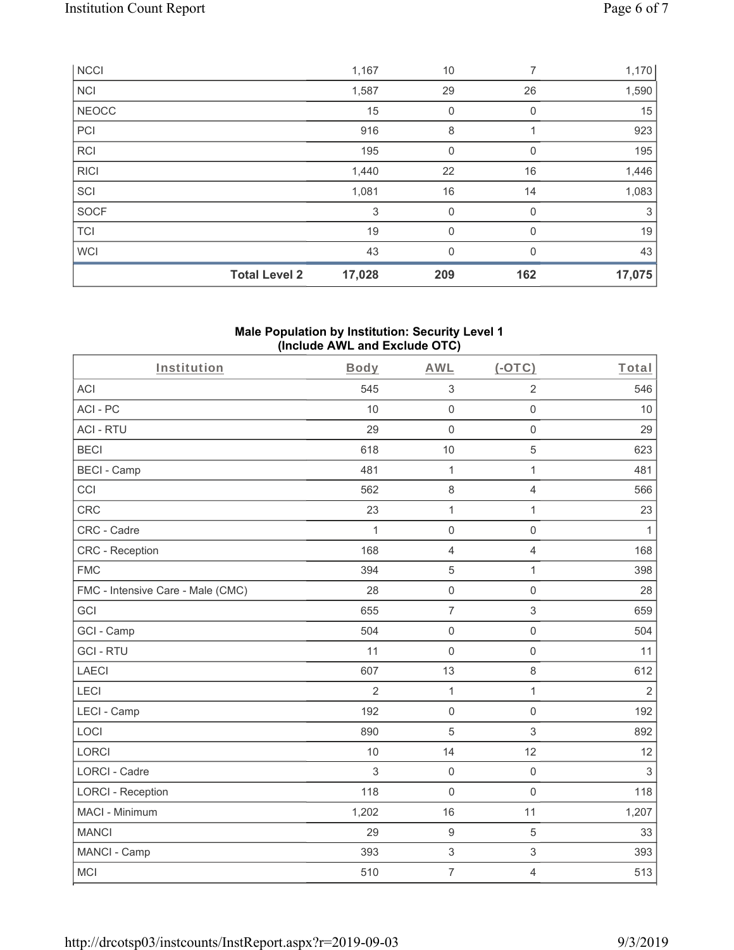|              | <b>Total Level 2</b> | 17,028 | 209 | 162      | 17,075 |
|--------------|----------------------|--------|-----|----------|--------|
| <b>WCI</b>   |                      | 43     | 0   | $\Omega$ | 43     |
| <b>TCI</b>   |                      | 19     | 0   | $\Omega$ | 19     |
| SOCF         |                      | 3      | 0   | 0        | 3      |
| SCI          |                      | 1,081  | 16  | 14       | 1,083  |
| <b>RICI</b>  |                      | 1,440  | 22  | 16       | 1,446  |
| <b>RCI</b>   |                      | 195    | 0   |          | 195    |
| PCI          |                      | 916    | 8   |          | 923    |
| <b>NEOCC</b> |                      | 15     | 0   | 0        | 15     |
| <b>NCI</b>   |                      | 1,587  | 29  | 26       | 1,590  |
| <b>NCCI</b>  |                      | 1,167  | 10  | 7        | 1,170  |

## **Male Population by Institution: Security Level 1 (Include AWL and Exclude OTC)**

| Institution                       | Body           | <b>AWL</b>          | $(-OTC)$            | Total          |
|-----------------------------------|----------------|---------------------|---------------------|----------------|
| <b>ACI</b>                        | 545            | $\sqrt{3}$          | $\overline{2}$      | 546            |
| ACI-PC                            | 10             | $\mathbf 0$         | $\mathsf 0$         | 10             |
| <b>ACI - RTU</b>                  | 29             | $\mathbf 0$         | $\mathbf 0$         | 29             |
| <b>BECI</b>                       | 618            | 10                  | $\overline{5}$      | 623            |
| <b>BECI - Camp</b>                | 481            | 1                   | $\mathbf{1}$        | 481            |
| CCI                               | 562            | $\,8\,$             | $\overline{4}$      | 566            |
| CRC                               | 23             | $\mathbf{1}$        | $\mathbf{1}$        | 23             |
| CRC - Cadre                       | 1              | $\mathsf{O}\xspace$ | $\mathbf 0$         | $\mathbf{1}$   |
| <b>CRC</b> - Reception            | 168            | $\overline{4}$      | $\overline{4}$      | 168            |
| <b>FMC</b>                        | 394            | 5                   | $\mathbf{1}$        | 398            |
| FMC - Intensive Care - Male (CMC) | 28             | $\mathsf{O}\xspace$ | $\mathbf 0$         | 28             |
| GCI                               | 655            | $\overline{7}$      | $\mathfrak{S}$      | 659            |
| GCI - Camp                        | 504            | $\mathsf{O}\xspace$ | $\mathbf 0$         | 504            |
| <b>GCI-RTU</b>                    | 11             | $\mathbf 0$         | $\mathsf{O}\xspace$ | 11             |
| <b>LAECI</b>                      | 607            | 13                  | $\,8\,$             | 612            |
| LECI                              | $\overline{2}$ | $\mathbf{1}$        | $\mathbf{1}$        | $\overline{2}$ |
| LECI - Camp                       | 192            | $\mathbf 0$         | $\mathbf 0$         | 192            |
| LOCI                              | 890            | 5                   | $\mathfrak{S}$      | 892            |
| <b>LORCI</b>                      | 10             | 14                  | 12                  | 12             |
| <b>LORCI - Cadre</b>              | 3              | $\mathsf{O}\xspace$ | $\mathsf{O}\xspace$ | $\sqrt{3}$     |
| <b>LORCI - Reception</b>          | 118            | $\mathbf 0$         | $\mathbf 0$         | 118            |
| MACI - Minimum                    | 1,202          | 16                  | 11                  | 1,207          |
| <b>MANCI</b>                      | 29             | $\boldsymbol{9}$    | $\overline{5}$      | 33             |
| MANCI - Camp                      | 393            | $\mathsf 3$         | $\,$ 3 $\,$         | 393            |
| MCI                               | 510            | $\overline{7}$      | $\overline{4}$      | 513            |